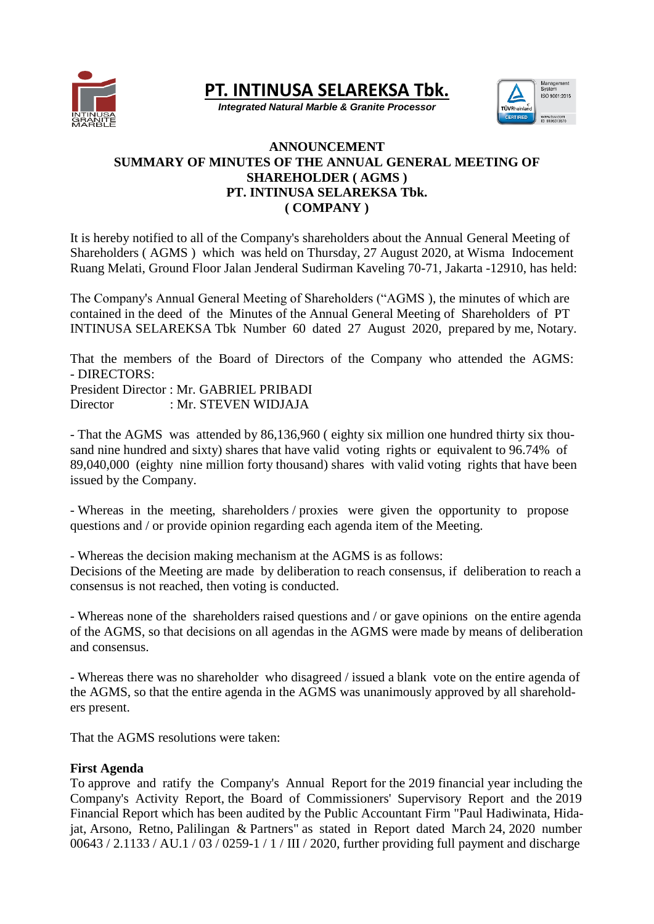

**PT. INTINUSA SELAREKSA Tbk.**

*Integrated Natural Marble & Granite Processor*



## **ANNOUNCEMENT SUMMARY OF MINUTES OF THE ANNUAL GENERAL MEETING OF SHAREHOLDER ( AGMS ) PT. INTINUSA SELAREKSA Tbk. ( COMPANY )**

It is hereby notified to all of the Company's shareholders about the Annual General Meeting of Shareholders ( AGMS ) which was held on Thursday, 27 August 2020, at Wisma Indocement Ruang Melati, Ground Floor Jalan Jenderal Sudirman Kaveling 70-71, Jakarta -12910, has held:

The Company's Annual General Meeting of Shareholders ("AGMS ), the minutes of which are contained in the deed of the Minutes of the Annual General Meeting of Shareholders of PT INTINUSA SELAREKSA Tbk Number 60 dated 27 August 2020, prepared by me, Notary.

That the members of the Board of Directors of the Company who attended the AGMS: - DIRECTORS: President Director : Mr. GABRIEL PRIBADI

Director : Mr. STEVEN WIDJAJA

- That the AGMS was attended by 86,136,960 ( eighty six million one hundred thirty six thousand nine hundred and sixty) shares that have valid voting rights or equivalent to 96.74% of 89,040,000 (eighty nine million forty thousand) shares with valid voting rights that have been issued by the Company.

- Whereas in the meeting, shareholders / proxies were given the opportunity to propose questions and / or provide opinion regarding each agenda item of the Meeting.

- Whereas the decision making mechanism at the AGMS is as follows: Decisions of the Meeting are made by deliberation to reach consensus, if deliberation to reach a consensus is not reached, then voting is conducted.

- Whereas none of the shareholders raised questions and / or gave opinions on the entire agenda of the AGMS, so that decisions on all agendas in the AGMS were made by means of deliberation and consensus.

- Whereas there was no shareholder who disagreed / issued a blank vote on the entire agenda of the AGMS, so that the entire agenda in the AGMS was unanimously approved by all shareholders present.

That the AGMS resolutions were taken:

# **First Agenda**

To approve and ratify the Company's Annual Report for the 2019 financial year including the Company's Activity Report, the Board of Commissioners' Supervisory Report and the 2019 Financial Report which has been audited by the Public Accountant Firm "Paul Hadiwinata, Hidajat, Arsono, Retno, Palilingan & Partners" as stated in Report dated March 24, 2020 number 00643 / 2.1133 / AU.1 / 03 / 0259-1 / 1 / III / 2020, further providing full payment and discharge